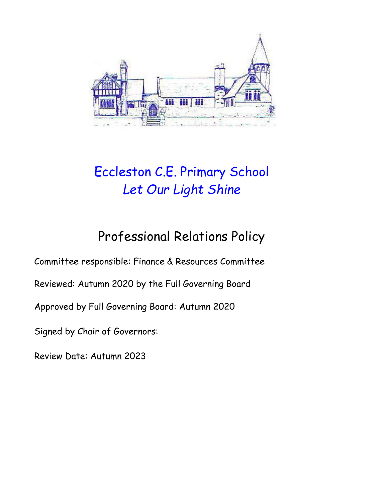

# Eccleston C.E. Primary School *Let Our Light Shine*

## Professional Relations Policy

Committee responsible: Finance & Resources Committee

Reviewed: Autumn 2020 by the Full Governing Board

Approved by Full Governing Board: Autumn 2020

Signed by Chair of Governors:

Review Date: Autumn 2023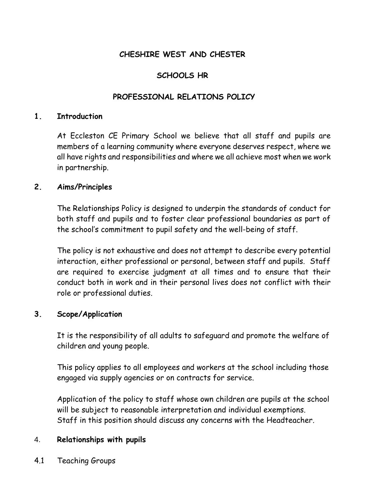## **CHESHIRE WEST AND CHESTER**

## **SCHOOLS HR**

#### **PROFESSIONAL RELATIONS POLICY**

#### **1. Introduction**

At Eccleston CE Primary School we believe that all staff and pupils are members of a learning community where everyone deserves respect, where we all have rights and responsibilities and where we all achieve most when we work in partnership.

#### **2. Aims/Principles**

 The Relationships Policy is designed to underpin the standards of conduct for both staff and pupils and to foster clear professional boundaries as part of the school's commitment to pupil safety and the well-being of staff.

The policy is not exhaustive and does not attempt to describe every potential interaction, either professional or personal, between staff and pupils. Staff are required to exercise judgment at all times and to ensure that their conduct both in work and in their personal lives does not conflict with their role or professional duties.

#### **3. Scope/Application**

It is the responsibility of all adults to safeguard and promote the welfare of children and young people.

This policy applies to all employees and workers at the school including those engaged via supply agencies or on contracts for service.

Application of the policy to staff whose own children are pupils at the school will be subject to reasonable interpretation and individual exemptions. Staff in this position should discuss any concerns with the Headteacher.

#### 4. **Relationships with pupils**

4.1 Teaching Groups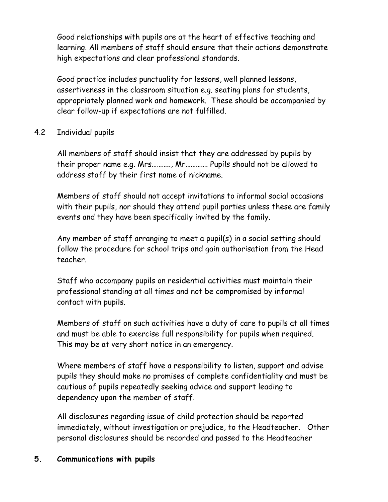Good relationships with pupils are at the heart of effective teaching and learning. All members of staff should ensure that their actions demonstrate high expectations and clear professional standards.

Good practice includes punctuality for lessons, well planned lessons, assertiveness in the classroom situation e.g. seating plans for students, appropriately planned work and homework. These should be accompanied by clear follow-up if expectations are not fulfilled.

## 4.2 Individual pupils

All members of staff should insist that they are addressed by pupils by their proper name e.g. Mrs……….., Mr…………. Pupils should not be allowed to address staff by their first name of nickname.

Members of staff should not accept invitations to informal social occasions with their pupils, nor should they attend pupil parties unless these are family events and they have been specifically invited by the family.

Any member of staff arranging to meet a pupil(s) in a social setting should follow the procedure for school trips and gain authorisation from the Head teacher.

Staff who accompany pupils on residential activities must maintain their professional standing at all times and not be compromised by informal contact with pupils.

Members of staff on such activities have a duty of care to pupils at all times and must be able to exercise full responsibility for pupils when required. This may be at very short notice in an emergency.

Where members of staff have a responsibility to listen, support and advise pupils they should make no promises of complete confidentiality and must be cautious of pupils repeatedly seeking advice and support leading to dependency upon the member of staff.

All disclosures regarding issue of child protection should be reported immediately, without investigation or prejudice, to the Headteacher. Other personal disclosures should be recorded and passed to the Headteacher

## **5. Communications with pupils**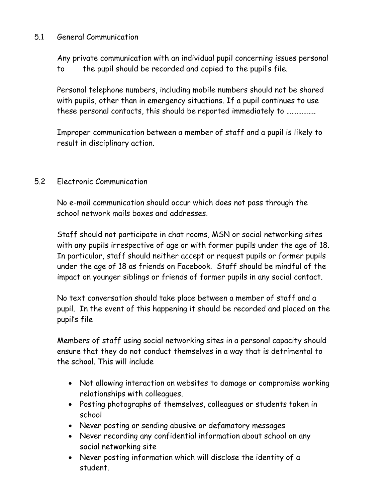## 5.1 General Communication

Any private communication with an individual pupil concerning issues personal to the pupil should be recorded and copied to the pupil's file.

Personal telephone numbers, including mobile numbers should not be shared with pupils, other than in emergency situations. If a pupil continues to use these personal contacts, this should be reported immediately to ……………..

Improper communication between a member of staff and a pupil is likely to result in disciplinary action.

## 5.2 Electronic Communication

No e-mail communication should occur which does not pass through the school network mails boxes and addresses.

Staff should not participate in chat rooms, MSN or social networking sites with any pupils irrespective of age or with former pupils under the age of 18. In particular, staff should neither accept or request pupils or former pupils under the age of 18 as friends on Facebook. Staff should be mindful of the impact on younger siblings or friends of former pupils in any social contact.

No text conversation should take place between a member of staff and a pupil. In the event of this happening it should be recorded and placed on the pupil's file

Members of staff using social networking sites in a personal capacity should ensure that they do not conduct themselves in a way that is detrimental to the school. This will include

- Not allowing interaction on websites to damage or compromise working relationships with colleagues.
- Posting photographs of themselves, colleagues or students taken in school
- Never posting or sending abusive or defamatory messages
- Never recording any confidential information about school on any social networking site
- Never posting information which will disclose the identity of a student.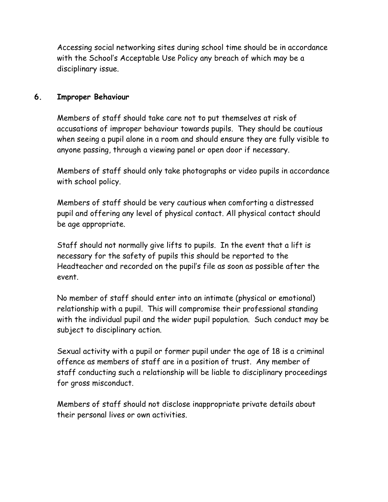Accessing social networking sites during school time should be in accordance with the School's Acceptable Use Policy any breach of which may be a disciplinary issue.

## **6. Improper Behaviour**

Members of staff should take care not to put themselves at risk of accusations of improper behaviour towards pupils. They should be cautious when seeing a pupil alone in a room and should ensure they are fully visible to anyone passing, through a viewing panel or open door if necessary.

Members of staff should only take photographs or video pupils in accordance with school policy.

Members of staff should be very cautious when comforting a distressed pupil and offering any level of physical contact. All physical contact should be age appropriate.

Staff should not normally give lifts to pupils. In the event that a lift is necessary for the safety of pupils this should be reported to the Headteacher and recorded on the pupil's file as soon as possible after the event.

No member of staff should enter into an intimate (physical or emotional) relationship with a pupil. This will compromise their professional standing with the individual pupil and the wider pupil population. Such conduct may be subject to disciplinary action.

Sexual activity with a pupil or former pupil under the age of 18 is a criminal offence as members of staff are in a position of trust. Any member of staff conducting such a relationship will be liable to disciplinary proceedings for gross misconduct.

Members of staff should not disclose inappropriate private details about their personal lives or own activities.